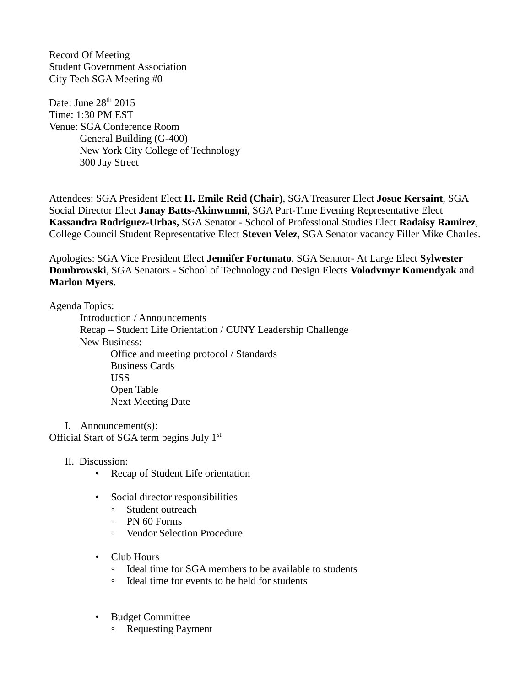Record Of Meeting Student Government Association City Tech SGA Meeting #0

Date: June 28<sup>th</sup> 2015 Time: 1:30 PM EST Venue: SGA Conference Room General Building (G-400) New York City College of Technology 300 Jay Street

Attendees: SGA President Elect **H. Emile Reid (Chair)**, SGA Treasurer Elect **Josue Kersaint**, SGA Social Director Elect **Janay Batts-Akinwunmi**, SGA Part-Time Evening Representative Elect **Kassandra Rodriguez-Urbas,** SGA Senator - School of Professional Studies Elect **Radaisy Ramirez**, College Council Student Representative Elect **Steven Velez**, SGA Senator vacancy Filler Mike Charles.

Apologies: SGA Vice President Elect **Jennifer Fortunato**, SGA Senator- At Large Elect **Sylwester Dombrowski**, SGA Senators - School of Technology and Design Elects **Volodvmyr Komendyak** and **Marlon Myers**.

Agenda Topics:

Introduction / Announcements Recap – Student Life Orientation / CUNY Leadership Challenge New Business: Office and meeting protocol / Standards Business Cards USS Open Table Next Meeting Date

I. Announcement(s): Official Start of SGA term begins July 1st

- II. Discussion:
	- Recap of Student Life orientation
	- Social director responsibilities
		- Student outreach
		- PN 60 Forms
		- Vendor Selection Procedure
	- Club Hours
		- Ideal time for SGA members to be available to students
		- Ideal time for events to be held for students
	- Budget Committee
		- Requesting Payment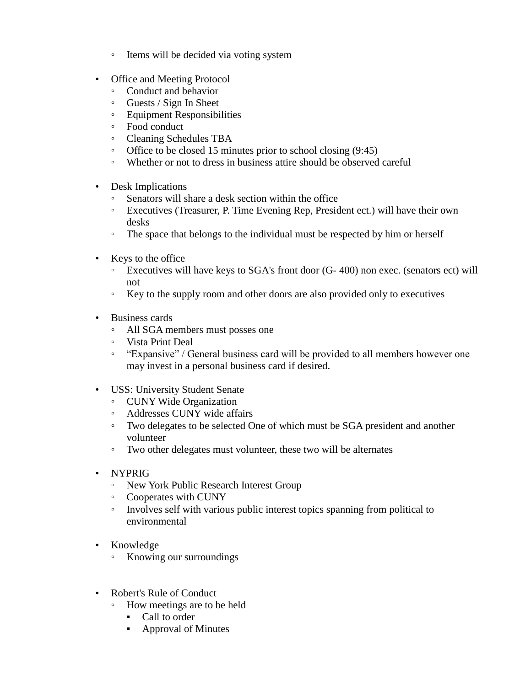- Items will be decided via voting system
- Office and Meeting Protocol
	- Conduct and behavior
	- Guests / Sign In Sheet
	- Equipment Responsibilities
	- Food conduct
	- Cleaning Schedules TBA
	- Office to be closed 15 minutes prior to school closing (9:45)
	- Whether or not to dress in business attire should be observed careful
- Desk Implications
	- Senators will share a desk section within the office
	- Executives (Treasurer, P. Time Evening Rep, President ect.) will have their own desks
	- The space that belongs to the individual must be respected by him or herself
- Keys to the office
	- Executives will have keys to SGA's front door (G- 400) non exec. (senators ect) will not
	- Key to the supply room and other doors are also provided only to executives
- Business cards
	- All SGA members must posses one
	- Vista Print Deal
	- "Expansive" / General business card will be provided to all members however one may invest in a personal business card if desired.
- USS: University Student Senate
	- CUNY Wide Organization
	- Addresses CUNY wide affairs
	- Two delegates to be selected One of which must be SGA president and another volunteer
	- Two other delegates must volunteer, these two will be alternates
- NYPRIG
	- New York Public Research Interest Group
	- Cooperates with CUNY
	- Involves self with various public interest topics spanning from political to environmental
- Knowledge
	- Knowing our surroundings
- Robert's Rule of Conduct
	- How meetings are to be held
		- Call to order
		- Approval of Minutes